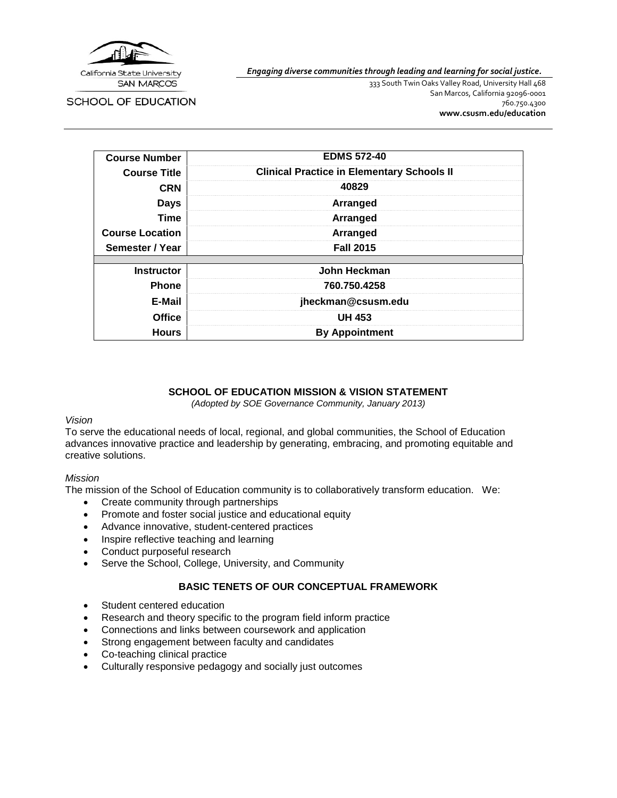

SCHOOL OF EDUCATION

*Engaging diverse communities through leading and learning for social justice.*

333 South Twin Oaks Valley Road, University Hall 468 San Marcos, California 92096-0001 760.750.4300 **[www.csusm.edu/education](http://www.csusm.edu/education)**

| <b>Course Number</b>   | <b>EDMS 572-40</b>                                |
|------------------------|---------------------------------------------------|
| <b>Course Title</b>    | <b>Clinical Practice in Elementary Schools II</b> |
| <b>CRN</b>             | 40829                                             |
| <b>Days</b>            | Arranged                                          |
| Time                   | Arranged                                          |
| <b>Course Location</b> | Arranged                                          |
| Semester / Year        | <b>Fall 2015</b>                                  |
|                        |                                                   |
| <b>Instructor</b>      | John Heckman                                      |
| <b>Phone</b>           | 760.750.4258                                      |
| E-Mail                 | jheckman@csusm.edu                                |
| <b>Office</b>          | <b>UH 453</b>                                     |
| <b>Hours</b>           | <b>By Appointment</b>                             |

#### **SCHOOL OF EDUCATION MISSION & VISION STATEMENT**

*(Adopted by SOE Governance Community, January 2013)*

#### *Vision*

To serve the educational needs of local, regional, and global communities, the School of Education advances innovative practice and leadership by generating, embracing, and promoting equitable and creative solutions.

#### *Mission*

The mission of the School of Education community is to collaboratively transform education. We:

- Create community through partnerships
- Promote and foster social justice and educational equity
- Advance innovative, student-centered practices
- Inspire reflective teaching and learning
- Conduct purposeful research
- Serve the School, College, University, and Community

## **BASIC TENETS OF OUR CONCEPTUAL FRAMEWORK**

- Student centered education
- Research and theory specific to the program field inform practice
- Connections and links between coursework and application
- Strong engagement between faculty and candidates
- Co-teaching clinical practice
- Culturally responsive pedagogy and socially just outcomes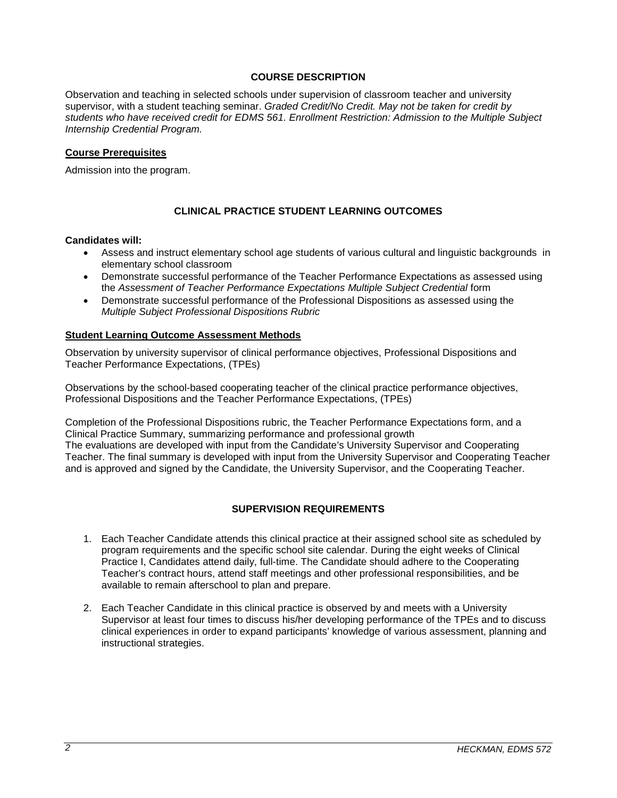## **COURSE DESCRIPTION**

Observation and teaching in selected schools under supervision of classroom teacher and university supervisor, with a student teaching seminar. *Graded Credit/No Credit. May not be taken for credit by students who have received credit for EDMS 561. Enrollment Restriction: Admission to the Multiple Subject Internship Credential Program.*

#### **Course Prerequisites**

Admission into the program.

# **CLINICAL PRACTICE STUDENT LEARNING OUTCOMES**

#### **Candidates will:**

- Assess and instruct elementary school age students of various cultural and linguistic backgrounds in elementary school classroom
- Demonstrate successful performance of the Teacher Performance Expectations as assessed using the *Assessment of Teacher Performance Expectations Multiple Subject Credential* form
- Demonstrate successful performance of the Professional Dispositions as assessed using the *Multiple Subject Professional Dispositions Rubric*

#### **Student Learning Outcome Assessment Methods**

Observation by university supervisor of clinical performance objectives, Professional Dispositions and Teacher Performance Expectations, (TPEs)

Observations by the school-based cooperating teacher of the clinical practice performance objectives, Professional Dispositions and the Teacher Performance Expectations, (TPEs)

Completion of the Professional Dispositions rubric, the Teacher Performance Expectations form, and a Clinical Practice Summary, summarizing performance and professional growth The evaluations are developed with input from the Candidate's University Supervisor and Cooperating Teacher. The final summary is developed with input from the University Supervisor and Cooperating Teacher and is approved and signed by the Candidate, the University Supervisor, and the Cooperating Teacher.

## **SUPERVISION REQUIREMENTS**

- 1. Each Teacher Candidate attends this clinical practice at their assigned school site as scheduled by program requirements and the specific school site calendar. During the eight weeks of Clinical Practice I, Candidates attend daily, full-time. The Candidate should adhere to the Cooperating Teacher's contract hours, attend staff meetings and other professional responsibilities, and be available to remain afterschool to plan and prepare.
- 2. Each Teacher Candidate in this clinical practice is observed by and meets with a University Supervisor at least four times to discuss his/her developing performance of the TPEs and to discuss clinical experiences in order to expand participants' knowledge of various assessment, planning and instructional strategies.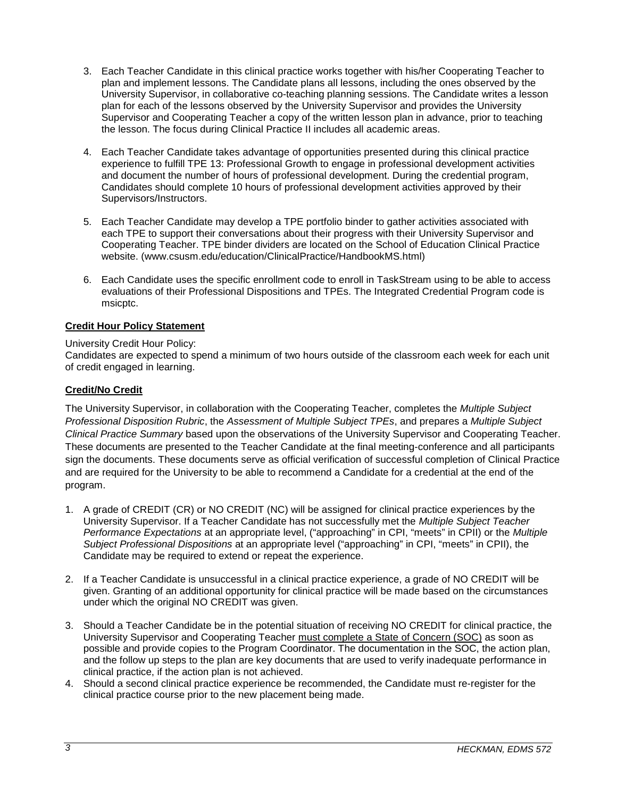- 3. Each Teacher Candidate in this clinical practice works together with his/her Cooperating Teacher to plan and implement lessons. The Candidate plans all lessons, including the ones observed by the University Supervisor, in collaborative co-teaching planning sessions. The Candidate writes a lesson plan for each of the lessons observed by the University Supervisor and provides the University Supervisor and Cooperating Teacher a copy of the written lesson plan in advance, prior to teaching the lesson. The focus during Clinical Practice II includes all academic areas.
- 4. Each Teacher Candidate takes advantage of opportunities presented during this clinical practice experience to fulfill TPE 13: Professional Growth to engage in professional development activities and document the number of hours of professional development. During the credential program, Candidates should complete 10 hours of professional development activities approved by their Supervisors/Instructors.
- 5. Each Teacher Candidate may develop a TPE portfolio binder to gather activities associated with each TPE to support their conversations about their progress with their University Supervisor and Cooperating Teacher. TPE binder dividers are located on the School of Education Clinical Practice website. (www.csusm.edu/education/ClinicalPractice/HandbookMS.html)
- 6. Each Candidate uses the specific enrollment code to enroll in TaskStream using to be able to access evaluations of their Professional Dispositions and TPEs. The Integrated Credential Program code is msicptc.

# **Credit Hour Policy Statement**

## University Credit Hour Policy:

Candidates are expected to spend a minimum of two hours outside of the classroom each week for each unit of credit engaged in learning.

## **Credit/No Credit**

The University Supervisor, in collaboration with the Cooperating Teacher, completes the *Multiple Subject Professional Disposition Rubric*, the *Assessment of Multiple Subject TPEs*, and prepares a *Multiple Subject Clinical Practice Summary* based upon the observations of the University Supervisor and Cooperating Teacher. These documents are presented to the Teacher Candidate at the final meeting-conference and all participants sign the documents. These documents serve as official verification of successful completion of Clinical Practice and are required for the University to be able to recommend a Candidate for a credential at the end of the program.

- 1. A grade of CREDIT (CR) or NO CREDIT (NC) will be assigned for clinical practice experiences by the University Supervisor. If a Teacher Candidate has not successfully met the *Multiple Subject Teacher Performance Expectations* at an appropriate level, ("approaching" in CPI, "meets" in CPII) or the *Multiple Subject Professional Dispositions* at an appropriate level ("approaching" in CPI, "meets" in CPII), the Candidate may be required to extend or repeat the experience.
- 2. If a Teacher Candidate is unsuccessful in a clinical practice experience, a grade of NO CREDIT will be given. Granting of an additional opportunity for clinical practice will be made based on the circumstances under which the original NO CREDIT was given.
- 3. Should a Teacher Candidate be in the potential situation of receiving NO CREDIT for clinical practice, the University Supervisor and Cooperating Teacher must complete a State of Concern (SOC) as soon as possible and provide copies to the Program Coordinator. The documentation in the SOC, the action plan, and the follow up steps to the plan are key documents that are used to verify inadequate performance in clinical practice, if the action plan is not achieved.
- 4. Should a second clinical practice experience be recommended, the Candidate must re-register for the clinical practice course prior to the new placement being made.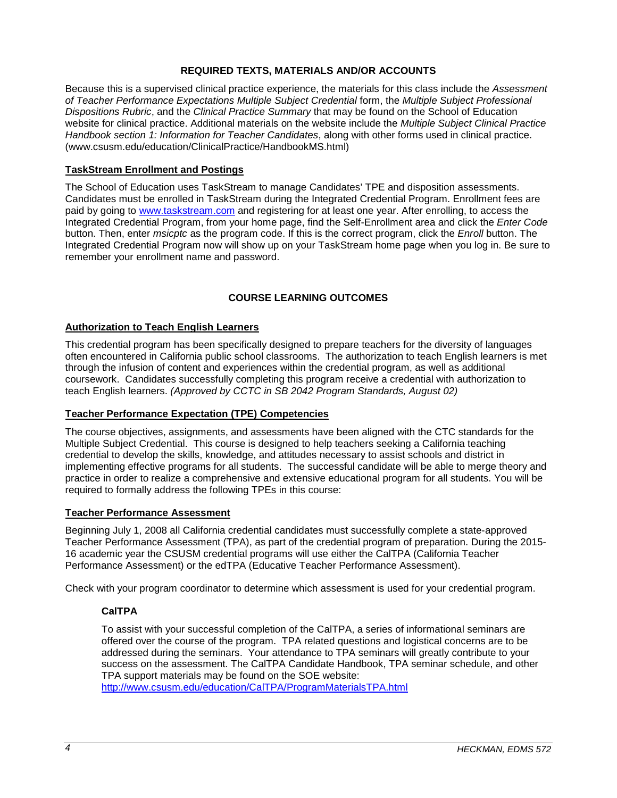## **REQUIRED TEXTS, MATERIALS AND/OR ACCOUNTS**

Because this is a supervised clinical practice experience, the materials for this class include the *Assessment of Teacher Performance Expectations Multiple Subject Credential* form, the *Multiple Subject Professional Dispositions Rubric*, and the *Clinical Practice Summary* that may be found on the School of Education website for clinical practice. Additional materials on the website include the *Multiple Subject Clinical Practice Handbook section 1: Information for Teacher Candidates*, along with other forms used in clinical practice. (www.csusm.edu/education/ClinicalPractice/HandbookMS.html)

### **TaskStream Enrollment and Postings**

The School of Education uses TaskStream to manage Candidates' TPE and disposition assessments. Candidates must be enrolled in TaskStream during the Integrated Credential Program. Enrollment fees are paid by going to [www.taskstream.com](http://www.taskstrem.com/) and registering for at least one year. After enrolling, to access the Integrated Credential Program, from your home page, find the Self-Enrollment area and click the *Enter Code* button. Then, enter *msicptc* as the program code. If this is the correct program, click the *Enroll* button. The Integrated Credential Program now will show up on your TaskStream home page when you log in. Be sure to remember your enrollment name and password.

## **COURSE LEARNING OUTCOMES**

### **Authorization to Teach English Learners**

This credential program has been specifically designed to prepare teachers for the diversity of languages often encountered in California public school classrooms. The authorization to teach English learners is met through the infusion of content and experiences within the credential program, as well as additional coursework. Candidates successfully completing this program receive a credential with authorization to teach English learners. *(Approved by CCTC in SB 2042 Program Standards, August 02)*

### **Teacher Performance Expectation (TPE) Competencies**

The course objectives, assignments, and assessments have been aligned with the CTC standards for the Multiple Subject Credential. This course is designed to help teachers seeking a California teaching credential to develop the skills, knowledge, and attitudes necessary to assist schools and district in implementing effective programs for all students. The successful candidate will be able to merge theory and practice in order to realize a comprehensive and extensive educational program for all students. You will be required to formally address the following TPEs in this course:

#### **Teacher Performance Assessment**

Beginning July 1, 2008 all California credential candidates must successfully complete a state-approved Teacher Performance Assessment (TPA), as part of the credential program of preparation. During the 2015- 16 academic year the CSUSM credential programs will use either the CalTPA (California Teacher Performance Assessment) or the edTPA (Educative Teacher Performance Assessment).

Check with your program coordinator to determine which assessment is used for your credential program.

## **CalTPA**

To assist with your successful completion of the CalTPA, a series of informational seminars are offered over the course of the program. TPA related questions and logistical concerns are to be addressed during the seminars. Your attendance to TPA seminars will greatly contribute to your success on the assessment. The CalTPA Candidate Handbook, TPA seminar schedule, and other TPA support materials may be found on the SOE website: <http://www.csusm.edu/education/CalTPA/ProgramMaterialsTPA.html>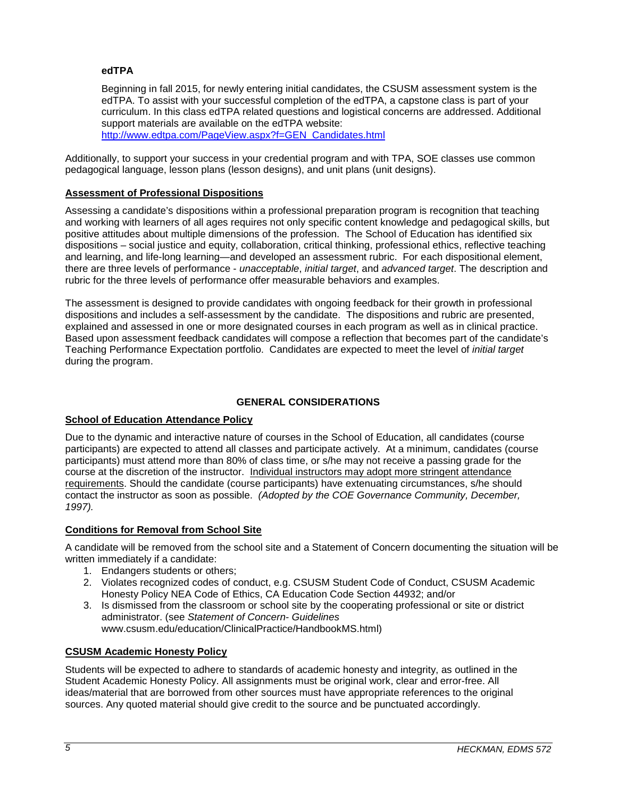### **edTPA**

Beginning in fall 2015, for newly entering initial candidates, the CSUSM assessment system is the edTPA. To assist with your successful completion of the edTPA, a capstone class is part of your curriculum. In this class edTPA related questions and logistical concerns are addressed. Additional support materials are available on the edTPA website: [http://www.edtpa.com/PageView.aspx?f=GEN\\_Candidates.html](http://www.edtpa.com/PageView.aspx?f=GEN_Candidates.html)

Additionally, to support your success in your credential program and with TPA, SOE classes use common pedagogical language, lesson plans (lesson designs), and unit plans (unit designs).

### **Assessment of Professional Dispositions**

Assessing a candidate's dispositions within a professional preparation program is recognition that teaching and working with learners of all ages requires not only specific content knowledge and pedagogical skills, but positive attitudes about multiple dimensions of the profession. The School of Education has identified six dispositions – social justice and equity, collaboration, critical thinking, professional ethics, reflective teaching and learning, and life-long learning—and developed an assessment rubric. For each dispositional element, there are three levels of performance - *unacceptable*, *initial target*, and *advanced target*. The description and rubric for the three levels of performance offer measurable behaviors and examples.

The assessment is designed to provide candidates with ongoing feedback for their growth in professional dispositions and includes a self-assessment by the candidate. The dispositions and rubric are presented, explained and assessed in one or more designated courses in each program as well as in clinical practice. Based upon assessment feedback candidates will compose a reflection that becomes part of the candidate's Teaching Performance Expectation portfolio. Candidates are expected to meet the level of *initial target* during the program.

## **GENERAL CONSIDERATIONS**

## **School of Education Attendance Policy**

Due to the dynamic and interactive nature of courses in the School of Education, all candidates (course participants) are expected to attend all classes and participate actively. At a minimum, candidates (course participants) must attend more than 80% of class time, or s/he may not receive a passing grade for the course at the discretion of the instructor. Individual instructors may adopt more stringent attendance requirements. Should the candidate (course participants) have extenuating circumstances, s/he should contact the instructor as soon as possible. *(Adopted by the COE Governance Community, December, 1997).*

## **Conditions for Removal from School Site**

A candidate will be removed from the school site and a Statement of Concern documenting the situation will be written immediately if a candidate:

- 1. Endangers students or others;
- 2. Violates recognized codes of conduct, e.g. CSUSM Student Code of Conduct, CSUSM Academic Honesty Policy NEA Code of Ethics, CA Education Code Section 44932; and/or
- 3. Is dismissed from the classroom or school site by the cooperating professional or site or district administrator. (see *Statement of Concern- Guidelines* www.csusm.edu/education/ClinicalPractice/HandbookMS.html)

## **CSUSM Academic Honesty Policy**

Students will be expected to adhere to standards of academic honesty and integrity, as outlined in the Student Academic Honesty Policy. All assignments must be original work, clear and error-free. All ideas/material that are borrowed from other sources must have appropriate references to the original sources. Any quoted material should give credit to the source and be punctuated accordingly.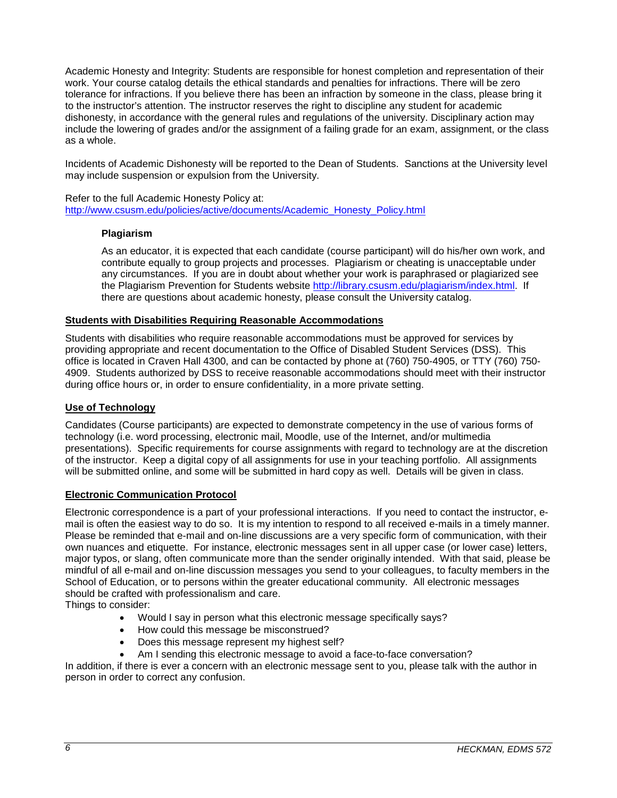Academic Honesty and Integrity: Students are responsible for honest completion and representation of their work. Your course catalog details the ethical standards and penalties for infractions. There will be zero tolerance for infractions. If you believe there has been an infraction by someone in the class, please bring it to the instructor's attention. The instructor reserves the right to discipline any student for academic dishonesty, in accordance with the general rules and regulations of the university. Disciplinary action may include the lowering of grades and/or the assignment of a failing grade for an exam, assignment, or the class as a whole.

Incidents of Academic Dishonesty will be reported to the Dean of Students. Sanctions at the University level may include suspension or expulsion from the University.

Refer to the full Academic Honesty Policy at: [http://www.csusm.edu/policies/active/documents/Academic\\_Honesty\\_Policy.html](http://www.csusm.edu/policies/active/documents/Academic_Honesty_Policy.html)

### **Plagiarism**

As an educator, it is expected that each candidate (course participant) will do his/her own work, and contribute equally to group projects and processes. Plagiarism or cheating is unacceptable under any circumstances. If you are in doubt about whether your work is paraphrased or plagiarized see the Plagiarism Prevention for Students website [http://library.csusm.edu/plagiarism/index.html.](http://library.csusm.edu/plagiarism/index.html) If there are questions about academic honesty, please consult the University catalog.

### **Students with Disabilities Requiring Reasonable Accommodations**

Students with disabilities who require reasonable accommodations must be approved for services by providing appropriate and recent documentation to the Office of Disabled Student Services (DSS). This office is located in Craven Hall 4300, and can be contacted by phone at (760) 750-4905, or TTY (760) 750- 4909. Students authorized by DSS to receive reasonable accommodations should meet with their instructor during office hours or, in order to ensure confidentiality, in a more private setting.

## **Use of Technology**

Candidates (Course participants) are expected to demonstrate competency in the use of various forms of technology (i.e. word processing, electronic mail, Moodle, use of the Internet, and/or multimedia presentations). Specific requirements for course assignments with regard to technology are at the discretion of the instructor. Keep a digital copy of all assignments for use in your teaching portfolio. All assignments will be submitted online, and some will be submitted in hard copy as well. Details will be given in class.

#### **Electronic Communication Protocol**

Electronic correspondence is a part of your professional interactions. If you need to contact the instructor, email is often the easiest way to do so. It is my intention to respond to all received e-mails in a timely manner. Please be reminded that e-mail and on-line discussions are a very specific form of communication, with their own nuances and etiquette. For instance, electronic messages sent in all upper case (or lower case) letters, major typos, or slang, often communicate more than the sender originally intended. With that said, please be mindful of all e-mail and on-line discussion messages you send to your colleagues, to faculty members in the School of Education, or to persons within the greater educational community. All electronic messages should be crafted with professionalism and care.

Things to consider:

- Would I say in person what this electronic message specifically says?
- How could this message be misconstrued?
- Does this message represent my highest self?
- Am I sending this electronic message to avoid a face-to-face conversation?

In addition, if there is ever a concern with an electronic message sent to you, please talk with the author in person in order to correct any confusion.